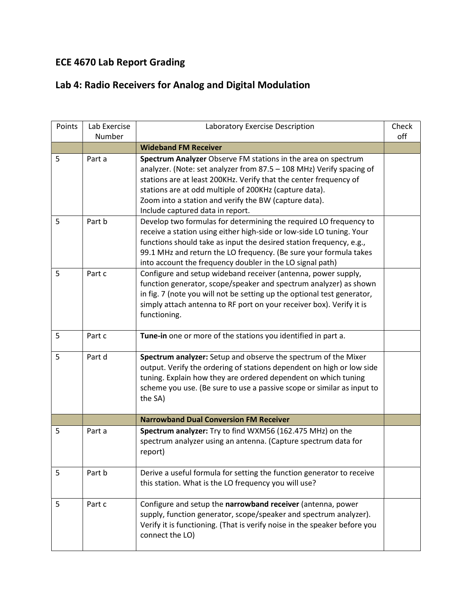## ECE 4670 Lab Report Grading

## Lab 4: Radio Receivers for Analog and Digital Modulation

| Points | Lab Exercise | Laboratory Exercise Description                                                           | Check |
|--------|--------------|-------------------------------------------------------------------------------------------|-------|
|        | Number       |                                                                                           | off   |
|        |              | <b>Wideband FM Receiver</b>                                                               |       |
| 5      | Part a       | Spectrum Analyzer Observe FM stations in the area on spectrum                             |       |
|        |              | analyzer. (Note: set analyzer from 87.5 - 108 MHz) Verify spacing of                      |       |
|        |              | stations are at least 200KHz. Verify that the center frequency of                         |       |
|        |              | stations are at odd multiple of 200KHz (capture data).                                    |       |
|        |              | Zoom into a station and verify the BW (capture data).<br>Include captured data in report. |       |
| 5      | Part b       | Develop two formulas for determining the required LO frequency to                         |       |
|        |              | receive a station using either high-side or low-side LO tuning. Your                      |       |
|        |              | functions should take as input the desired station frequency, e.g.,                       |       |
|        |              | 99.1 MHz and return the LO frequency. (Be sure your formula takes                         |       |
|        |              | into account the frequency doubler in the LO signal path)                                 |       |
| 5      | Part c       | Configure and setup wideband receiver (antenna, power supply,                             |       |
|        |              | function generator, scope/speaker and spectrum analyzer) as shown                         |       |
|        |              | in fig. 7 (note you will not be setting up the optional test generator,                   |       |
|        |              | simply attach antenna to RF port on your receiver box). Verify it is                      |       |
|        |              | functioning.                                                                              |       |
|        |              |                                                                                           |       |
| 5      | Part c       | Tune-in one or more of the stations you identified in part a.                             |       |
| 5      | Part d       | Spectrum analyzer: Setup and observe the spectrum of the Mixer                            |       |
|        |              | output. Verify the ordering of stations dependent on high or low side                     |       |
|        |              | tuning. Explain how they are ordered dependent on which tuning                            |       |
|        |              | scheme you use. (Be sure to use a passive scope or similar as input to                    |       |
|        |              | the SA)                                                                                   |       |
|        |              |                                                                                           |       |
|        |              | <b>Narrowband Dual Conversion FM Receiver</b>                                             |       |
| 5      | Part a       | Spectrum analyzer: Try to find WXM56 (162.475 MHz) on the                                 |       |
|        |              | spectrum analyzer using an antenna. (Capture spectrum data for                            |       |
|        |              | report)                                                                                   |       |
|        |              |                                                                                           |       |
| 5      | Part b       | Derive a useful formula for setting the function generator to receive                     |       |
|        |              | this station. What is the LO frequency you will use?                                      |       |
|        |              |                                                                                           |       |
| 5      | Part c       | Configure and setup the narrowband receiver (antenna, power                               |       |
|        |              | supply, function generator, scope/speaker and spectrum analyzer).                         |       |
|        |              | Verify it is functioning. (That is verify noise in the speaker before you                 |       |
|        |              | connect the LO)                                                                           |       |
|        |              |                                                                                           |       |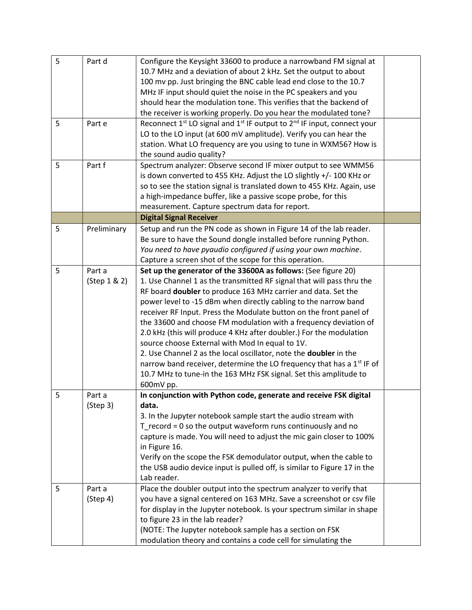| 5 | Part d       | Configure the Keysight 33600 to produce a narrowband FM signal at                                           |  |
|---|--------------|-------------------------------------------------------------------------------------------------------------|--|
|   |              | 10.7 MHz and a deviation of about 2 kHz. Set the output to about                                            |  |
|   |              | 100 mv pp. Just bringing the BNC cable lead end close to the 10.7                                           |  |
|   |              | MHz IF input should quiet the noise in the PC speakers and you                                              |  |
|   |              | should hear the modulation tone. This verifies that the backend of                                          |  |
|   |              | the receiver is working properly. Do you hear the modulated tone?                                           |  |
|   |              |                                                                                                             |  |
| 5 | Part e       | Reconnect 1 <sup>st</sup> LO signal and 1 <sup>st</sup> IF output to 2 <sup>nd</sup> IF input, connect your |  |
|   |              | LO to the LO input (at 600 mV amplitude). Verify you can hear the                                           |  |
|   |              | station. What LO frequency are you using to tune in WXM56? How is                                           |  |
|   |              | the sound audio quality?                                                                                    |  |
| 5 | Part f       | Spectrum analyzer: Observe second IF mixer output to see WMM56                                              |  |
|   |              | is down converted to 455 KHz. Adjust the LO slightly +/- 100 KHz or                                         |  |
|   |              | so to see the station signal is translated down to 455 KHz. Again, use                                      |  |
|   |              | a high-impedance buffer, like a passive scope probe, for this                                               |  |
|   |              | measurement. Capture spectrum data for report.                                                              |  |
|   |              | <b>Digital Signal Receiver</b>                                                                              |  |
| 5 | Preliminary  | Setup and run the PN code as shown in Figure 14 of the lab reader.                                          |  |
|   |              | Be sure to have the Sound dongle installed before running Python.                                           |  |
|   |              | You need to have pyaudio configured if using your own machine.                                              |  |
|   |              | Capture a screen shot of the scope for this operation.                                                      |  |
| 5 | Part a       | Set up the generator of the 33600A as follows: (See figure 20)                                              |  |
|   | (Step 1 & 2) | 1. Use Channel 1 as the transmitted RF signal that will pass thru the                                       |  |
|   |              | RF board doubler to produce 163 MHz carrier and data. Set the                                               |  |
|   |              | power level to -15 dBm when directly cabling to the narrow band                                             |  |
|   |              | receiver RF Input. Press the Modulate button on the front panel of                                          |  |
|   |              | the 33600 and choose FM modulation with a frequency deviation of                                            |  |
|   |              | 2.0 kHz (this will produce 4 KHz after doubler.) For the modulation                                         |  |
|   |              | source choose External with Mod In equal to 1V.                                                             |  |
|   |              | 2. Use Channel 2 as the local oscillator, note the doubler in the                                           |  |
|   |              | narrow band receiver, determine the LO frequency that has a 1 <sup>st</sup> IF of                           |  |
|   |              | 10.7 MHz to tune-in the 163 MHz FSK signal. Set this amplitude to                                           |  |
|   |              | 600mV pp.                                                                                                   |  |
| 5 | Part a       | In conjunction with Python code, generate and receive FSK digital                                           |  |
|   | (Step 3)     | data.                                                                                                       |  |
|   |              | 3. In the Jupyter notebook sample start the audio stream with                                               |  |
|   |              |                                                                                                             |  |
|   |              | $T$ record = 0 so the output waveform runs continuously and no                                              |  |
|   |              | capture is made. You will need to adjust the mic gain closer to 100%                                        |  |
|   |              | in Figure 16.                                                                                               |  |
|   |              | Verify on the scope the FSK demodulator output, when the cable to                                           |  |
|   |              | the USB audio device input is pulled off, is similar to Figure 17 in the                                    |  |
|   |              | Lab reader.                                                                                                 |  |
| 5 | Part a       | Place the doubler output into the spectrum analyzer to verify that                                          |  |
|   | (Step 4)     | you have a signal centered on 163 MHz. Save a screenshot or csv file                                        |  |
|   |              | for display in the Jupyter notebook. Is your spectrum similar in shape                                      |  |
|   |              | to figure 23 in the lab reader?                                                                             |  |
|   |              | (NOTE: The Jupyter notebook sample has a section on FSK                                                     |  |
|   |              | modulation theory and contains a code cell for simulating the                                               |  |